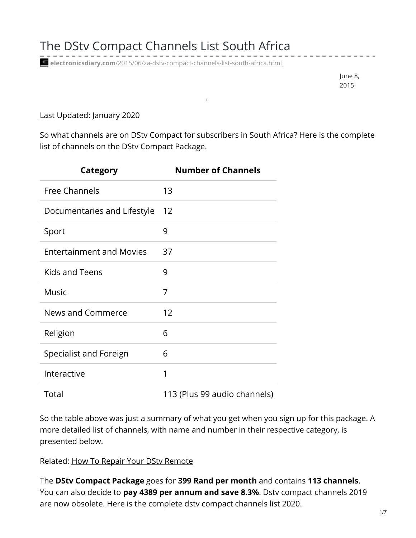**electronicsdiary.com**[/2015/06/za-dstv-compact-channels-list-south-africa.html](https://www.electronicsdiary.com/2015/06/za-dstv-compact-channels-list-south-africa.html)

June 8, 2015

## Last Updated: January 2020

So what channels are on DStv Compact for subscribers in South Africa? Here is the complete list of channels on the DStv Compact Package.

 $\Box$ 

| Category                        | <b>Number of Channels</b>    |
|---------------------------------|------------------------------|
| <b>Free Channels</b>            | 13                           |
| Documentaries and Lifestyle     | 12                           |
| Sport                           | 9                            |
| <b>Entertainment and Movies</b> | 37                           |
| <b>Kids and Teens</b>           | 9                            |
| <b>Music</b>                    | 7                            |
| News and Commerce               | 12                           |
| Religion                        | 6                            |
| Specialist and Foreign          | 6                            |
| Interactive                     | 1                            |
| Total                           | 113 (Plus 99 audio channels) |

So the table above was just a summary of what you get when you sign up for this package. A more detailed list of channels, with name and number in their respective category, is presented below.

Related: How To Repair Your DStv [Remote](https://www.electronicsdiary.com/2017/12/fix-dstv-remote-is-not-working.html)

The **DStv Compact Package** goes for **399 Rand per month** and contains **113 channels**. You can also decide to **pay 4389 per annum and save 8.3%**. Dstv compact channels 2019 are now obsolete. Here is the complete dstv compact channels list 2020.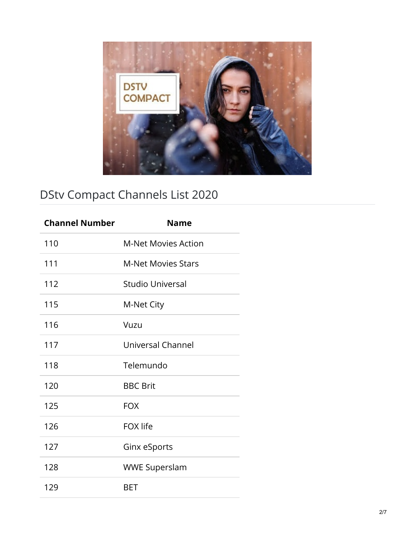

## DStv Compact Channels List 2020

| <b>Channel Number</b> | <b>Name</b>                |
|-----------------------|----------------------------|
| 110                   | <b>M-Net Movies Action</b> |
| 111                   | <b>M-Net Movies Stars</b>  |
| 112                   | Studio Universal           |
| 115                   | M-Net City                 |
| 116                   | Vuzu                       |
| 117                   | <b>Universal Channel</b>   |
| 118                   | Telemundo                  |
| 120                   | <b>BBC Brit</b>            |
| 125                   | <b>FOX</b>                 |
| 126                   | <b>FOX life</b>            |
| 127                   | Ginx eSports               |
| 128                   | <b>WWE Superslam</b>       |
| 129                   | BET                        |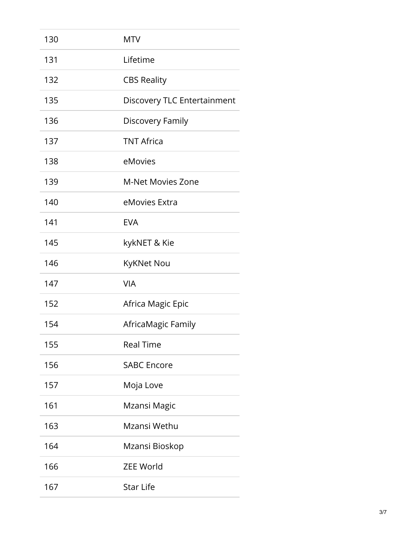| 130 | <b>MTV</b>                  |
|-----|-----------------------------|
| 131 | Lifetime                    |
| 132 | <b>CBS Reality</b>          |
| 135 | Discovery TLC Entertainment |
| 136 | Discovery Family            |
| 137 | <b>TNT Africa</b>           |
| 138 | eMovies                     |
| 139 | <b>M-Net Movies Zone</b>    |
| 140 | eMovies Extra               |
| 141 | <b>EVA</b>                  |
| 145 | kykNET & Kie                |
| 146 | <b>KyKNet Nou</b>           |
| 147 | <b>VIA</b>                  |
| 152 | Africa Magic Epic           |
| 154 | AfricaMagic Family          |
| 155 | <b>Real Time</b>            |
| 156 | <b>SABC Encore</b>          |
| 157 | Moja Love                   |
| 161 | Mzansi Magic                |
| 163 | Mzansi Wethu                |
| 164 | Mzansi Bioskop              |
| 166 | <b>ZEE World</b>            |
| 167 | <b>Star Life</b>            |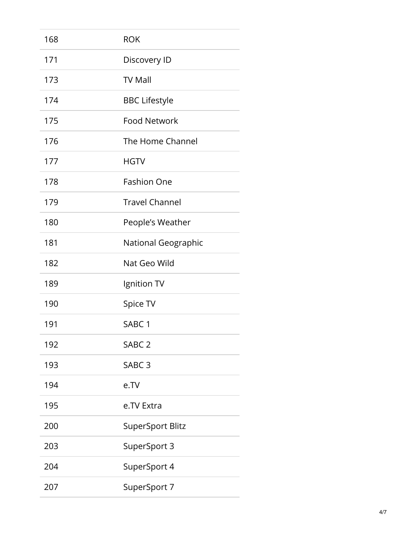| 168 | <b>ROK</b>                 |
|-----|----------------------------|
| 171 | Discovery ID               |
| 173 | <b>TV Mall</b>             |
| 174 | <b>BBC Lifestyle</b>       |
| 175 | <b>Food Network</b>        |
| 176 | The Home Channel           |
| 177 | <b>HGTV</b>                |
| 178 | <b>Fashion One</b>         |
| 179 | <b>Travel Channel</b>      |
| 180 | People's Weather           |
| 181 | <b>National Geographic</b> |
| 182 | Nat Geo Wild               |
| 189 | Ignition TV                |
| 190 | Spice TV                   |
| 191 | SABC <sub>1</sub>          |
| 192 | SABC <sub>2</sub>          |
| 193 | SABC <sub>3</sub>          |
| 194 | e.TV                       |
| 195 | e.TV Extra                 |
| 200 | <b>SuperSport Blitz</b>    |
| 203 | SuperSport 3               |
| 204 | SuperSport 4               |
| 207 | SuperSport 7               |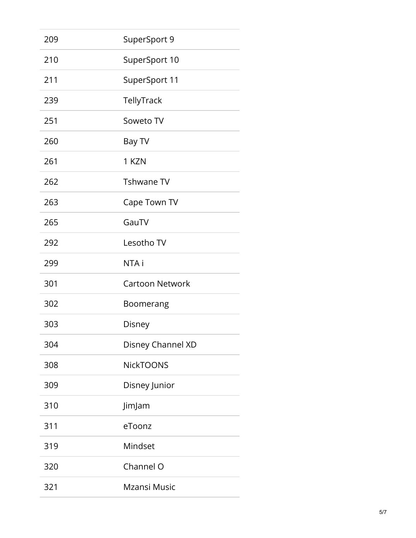| 209 | SuperSport 9           |
|-----|------------------------|
| 210 | SuperSport 10          |
| 211 | SuperSport 11          |
| 239 | TellyTrack             |
| 251 | Soweto TV              |
| 260 | Bay TV                 |
| 261 | 1 KZN                  |
| 262 | <b>Tshwane TV</b>      |
| 263 | Cape Town TV           |
| 265 | GauTV                  |
| 292 | Lesotho TV             |
| 299 | NTA i                  |
| 301 | <b>Cartoon Network</b> |
| 302 | Boomerang              |
| 303 | Disney                 |
| 304 | Disney Channel XD      |
| 308 | <b>NickTOONS</b>       |
| 309 | Disney Junior          |
| 310 | JimJam                 |
| 311 | eToonz                 |
| 319 | Mindset                |
| 320 | Channel O              |
| 321 | <b>Mzansi Music</b>    |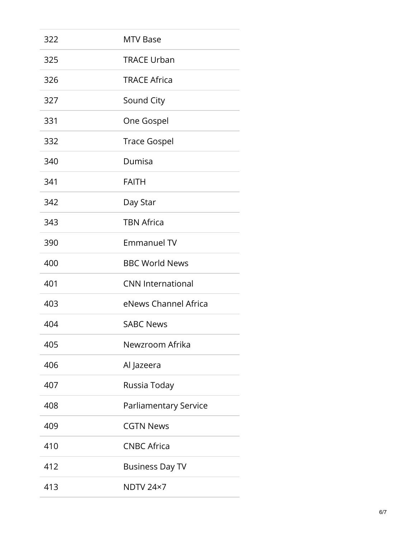| 322 | <b>MTV Base</b>              |
|-----|------------------------------|
| 325 | <b>TRACE Urban</b>           |
| 326 | <b>TRACE Africa</b>          |
| 327 | Sound City                   |
| 331 | One Gospel                   |
| 332 | <b>Trace Gospel</b>          |
| 340 | Dumisa                       |
| 341 | <b>FAITH</b>                 |
| 342 | Day Star                     |
| 343 | <b>TBN Africa</b>            |
| 390 | <b>Emmanuel TV</b>           |
| 400 | <b>BBC World News</b>        |
| 401 | <b>CNN International</b>     |
| 403 | eNews Channel Africa         |
| 404 | <b>SABC News</b>             |
| 405 | Newzroom Afrika              |
| 406 | Al Jazeera                   |
| 407 | Russia Today                 |
| 408 | <b>Parliamentary Service</b> |
| 409 | <b>CGTN News</b>             |
| 410 | <b>CNBC Africa</b>           |
|     |                              |
| 412 | <b>Business Day TV</b>       |